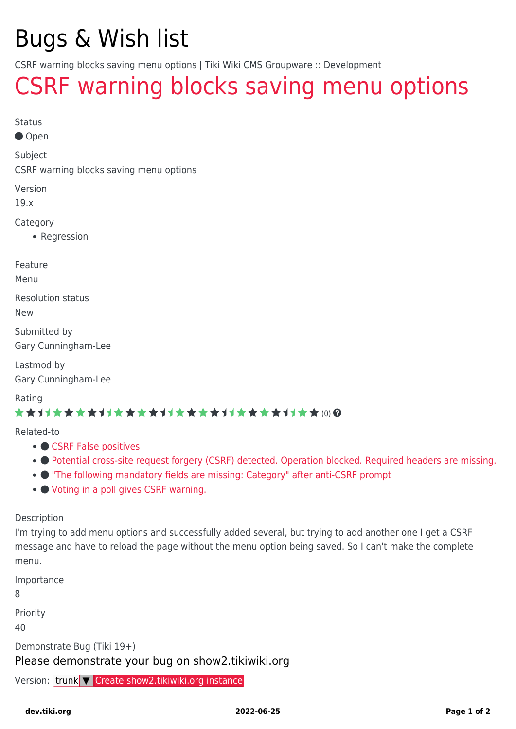# Bugs & Wish list

CSRF warning blocks saving menu options | Tiki Wiki CMS Groupware :: Development

## [CSRF warning blocks saving menu options](https://dev.tiki.org/item7063-CSRF-warning-blocks-saving-menu-options)

Status

Open

Subject

CSRF warning blocks saving menu options

Version

19.x

Category

• Regression

Feature

Menu

Resolution status

New

Submitted by Gary Cunningham-Lee

Lastmod by Gary Cunningham-Lee

Rating

#### \*\*\*\*\*\*\*\*\*\*\*\*\*\*\*\*\*\*\*\*\*\*\*\*\*\*\*\*\*\*

Related-to

- ● [CSRF False positives](https://dev.tiki.org/item7133-CSRF-False-positives)
- • [Potential cross-site request forgery \(CSRF\) detected. Operation blocked. Required headers are missing.](https://dev.tiki.org/item7633-Potential-cross-site-request-forgery-CSRF-detected-Operation-blocked-Required-headers-are-missing)
- ["The following mandatory fields are missing: Category" after anti-CSRF prompt](https://dev.tiki.org/item6926--The-following-mandatory-fields-are-missing-Category-after-anti-CSRF-prompt)
- [Voting in a poll gives CSRF warning.](https://dev.tiki.org/item7350-Voting-in-a-poll-gives-CSRF-warning)

Description

I'm trying to add menu options and successfully added several, but trying to add another one I get a CSRF message and have to reload the page without the menu option being saved. So I can't make the complete menu.

| Importance                                                   |
|--------------------------------------------------------------|
| -8                                                           |
| Priority                                                     |
| 40                                                           |
| Demonstrate Bug (Tiki 19+)                                   |
| Please demonstrate your bug on show 2. tikiwiki.org          |
| Version: trunk <b>V</b> Create show 2. tikiwiki.org instance |